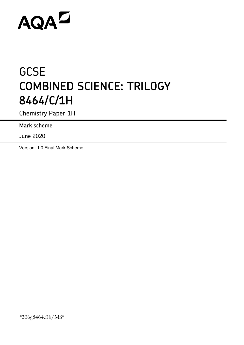# AQAZ

# **GCSE COMBINED SCIENCE: TRILOGY 8464/C/1H**

Chemistry Paper 1H

**Mark scheme**

June 2020

Version: 1.0 Final Mark Scheme

\*206g8464c1h/MS\*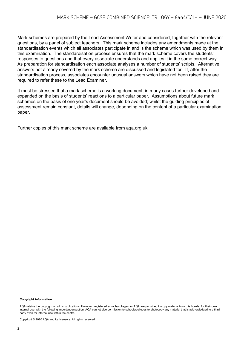Mark schemes are prepared by the Lead Assessment Writer and considered, together with the relevant questions, by a panel of subject teachers. This mark scheme includes any amendments made at the standardisation events which all associates participate in and is the scheme which was used by them in this examination. The standardisation process ensures that the mark scheme covers the students' responses to questions and that every associate understands and applies it in the same correct way. As preparation for standardisation each associate analyses a number of students' scripts. Alternative answers not already covered by the mark scheme are discussed and legislated for. If, after the standardisation process, associates encounter unusual answers which have not been raised they are required to refer these to the Lead Examiner.

It must be stressed that a mark scheme is a working document, in many cases further developed and expanded on the basis of students' reactions to a particular paper. Assumptions about future mark schemes on the basis of one year's document should be avoided; whilst the guiding principles of assessment remain constant, details will change, depending on the content of a particular examination paper.

Further copies of this mark scheme are available from aqa.org.uk

#### **Copyright information**

AQA retains the copyright on all its publications. However, registered schools/colleges for AQA are permitted to copy material from this booklet for their own internal use, with the following important exception: AQA cannot give permission to schools/colleges to photocopy any material that is acknowledged to a third party even for internal use within the centre.

Copyright © 2020 AQA and its licensors. All rights reserved.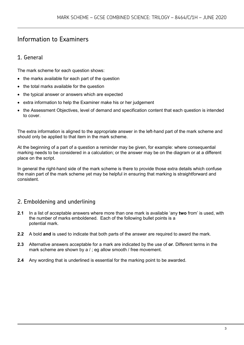# Information to Examiners

# 1. General

The mark scheme for each question shows:

- the marks available for each part of the question
- the total marks available for the question
- the typical answer or answers which are expected
- extra information to help the Examiner make his or her judgement
- the Assessment Objectives, level of demand and specification content that each question is intended to cover.

The extra information is aligned to the appropriate answer in the left-hand part of the mark scheme and should only be applied to that item in the mark scheme.

At the beginning of a part of a question a reminder may be given, for example: where consequential marking needs to be considered in a calculation; or the answer may be on the diagram or at a different place on the script.

In general the right-hand side of the mark scheme is there to provide those extra details which confuse the main part of the mark scheme yet may be helpful in ensuring that marking is straightforward and consistent.

## 2. Emboldening and underlining

- **2.1** In a list of acceptable answers where more than one mark is available 'any **two** from' is used, with the number of marks emboldened. Each of the following bullet points is a potential mark.
- **2.2** A bold **and** is used to indicate that both parts of the answer are required to award the mark.
- **2.3** Alternative answers acceptable for a mark are indicated by the use of **or**. Different terms in the mark scheme are shown by a / ; eg allow smooth / free movement.
- **2.4** Any wording that is underlined is essential for the marking point to be awarded.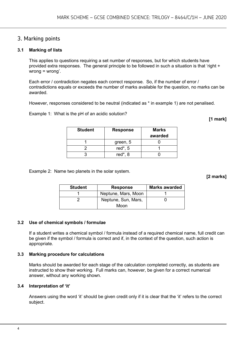### 3. Marking points

#### **3.1 Marking of lists**

This applies to questions requiring a set number of responses, but for which students have provided extra responses. The general principle to be followed in such a situation is that 'right + wrong = wrong'.

Each error / contradiction negates each correct response. So, if the number of error / contradictions equals or exceeds the number of marks available for the question, no marks can be awarded.

However, responses considered to be neutral (indicated as \* in example 1) are not penalised.

Example 1: What is the pH of an acidic solution?

**[1 mark]**

| <b>Student</b> | <b>Response</b> | <b>Marks</b><br>awarded |
|----------------|-----------------|-------------------------|
|                | green, 5        |                         |
|                | red $*$ , 5     |                         |
|                | red $*$ , 8     |                         |

Example 2: Name two planets in the solar system.

**[2 marks]**

| <b>Student</b> | <b>Response</b>     | <b>Marks awarded</b> |
|----------------|---------------------|----------------------|
|                | Neptune, Mars, Moon |                      |
|                | Neptune, Sun, Mars, |                      |
|                | Moon                |                      |

#### **3.2 Use of chemical symbols / formulae**

If a student writes a chemical symbol / formula instead of a required chemical name, full credit can be given if the symbol / formula is correct and if, in the context of the question, such action is appropriate.

#### **3.3 Marking procedure for calculations**

Marks should be awarded for each stage of the calculation completed correctly, as students are instructed to show their working. Full marks can, however, be given for a correct numerical answer, without any working shown.

#### **3.4 Interpretation of 'it'**

Answers using the word 'it' should be given credit only if it is clear that the 'it' refers to the correct subject.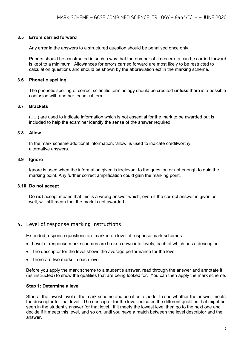#### **3.5 Errors carried forward**

Any error in the answers to a structured question should be penalised once only.

Papers should be constructed in such a way that the number of times errors can be carried forward is kept to a minimum. Allowances for errors carried forward are most likely to be restricted to calculation questions and should be shown by the abbreviation ecf in the marking scheme.

#### **3.6 Phonetic spelling**

The phonetic spelling of correct scientific terminology should be credited **unless** there is a possible confusion with another technical term.

#### **3.7 Brackets**

(…..) are used to indicate information which is not essential for the mark to be awarded but is included to help the examiner identify the sense of the answer required.

#### **3.8 Allow**

In the mark scheme additional information, 'allow' is used to indicate creditworthy alternative answers.

#### **3.9 Ignore**

Ignore is used when the information given is irrelevant to the question or not enough to gain the marking point. Any further correct amplification could gain the marking point.

#### **3.10 Do not accept**

Do **not** accept means that this is a wrong answer which, even if the correct answer is given as well, will still mean that the mark is not awarded.

#### 4. Level of response marking instructions

Extended response questions are marked on level of response mark schemes.

- Level of response mark schemes are broken down into levels, each of which has a descriptor.
- The descriptor for the level shows the average performance for the level.
- There are two marks in each level.

Before you apply the mark scheme to a student's answer, read through the answer and annotate it (as instructed) to show the qualities that are being looked for. You can then apply the mark scheme.

#### **Step 1: Determine a level**

Start at the lowest level of the mark scheme and use it as a ladder to see whether the answer meets the descriptor for that level. The descriptor for the level indicates the different qualities that might be seen in the student's answer for that level. If it meets the lowest level then go to the next one and decide if it meets this level, and so on, until you have a match between the level descriptor and the answer.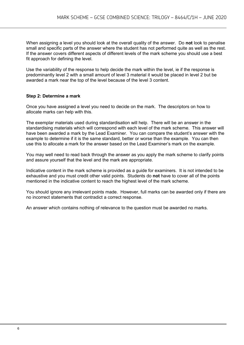When assigning a level you should look at the overall quality of the answer. Do **not** look to penalise small and specific parts of the answer where the student has not performed quite as well as the rest. If the answer covers different aspects of different levels of the mark scheme you should use a best fit approach for defining the level.

Use the variability of the response to help decide the mark within the level, ie if the response is predominantly level 2 with a small amount of level 3 material it would be placed in level 2 but be awarded a mark near the top of the level because of the level 3 content.

#### **Step 2: Determine a mark**

Once you have assigned a level you need to decide on the mark. The descriptors on how to allocate marks can help with this.

The exemplar materials used during standardisation will help. There will be an answer in the standardising materials which will correspond with each level of the mark scheme. This answer will have been awarded a mark by the Lead Examiner. You can compare the student's answer with the example to determine if it is the same standard, better or worse than the example. You can then use this to allocate a mark for the answer based on the Lead Examiner's mark on the example.

You may well need to read back through the answer as you apply the mark scheme to clarify points and assure yourself that the level and the mark are appropriate.

Indicative content in the mark scheme is provided as a guide for examiners. It is not intended to be exhaustive and you must credit other valid points. Students do **not** have to cover all of the points mentioned in the indicative content to reach the highest level of the mark scheme.

You should ignore any irrelevant points made. However, full marks can be awarded only if there are no incorrect statements that contradict a correct response.

An answer which contains nothing of relevance to the question must be awarded no marks.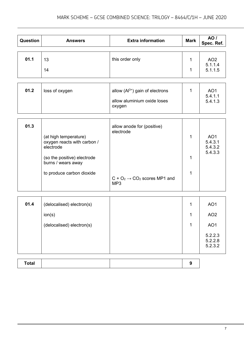| <b>Question</b> | <b>Answers</b>                                                                                                                                      | <b>Extra information</b>                                                                                | <b>Mark</b> | <b>AO</b> /<br>Spec. Ref.                                                              |
|-----------------|-----------------------------------------------------------------------------------------------------------------------------------------------------|---------------------------------------------------------------------------------------------------------|-------------|----------------------------------------------------------------------------------------|
| 01.1            | 13<br>14                                                                                                                                            | this order only                                                                                         | 1<br>1      | AO <sub>2</sub><br>5.1.1.4<br>5.1.1.5                                                  |
| 01.2            | loss of oxygen                                                                                                                                      | allow $(AI^{3+})$ gain of electrons<br>allow aluminium oxide loses<br>oxygen                            | 1           | AO <sub>1</sub><br>5.4.1.1<br>5.4.1.3                                                  |
| 01.3            | (at high temperature)<br>oxygen reacts with carbon /<br>electrode<br>(so the positive) electrode<br>burns / wears away<br>to produce carbon dioxide | allow anode for (positive)<br>electrode<br>$C + O_2 \rightarrow CO_2$ scores MP1 and<br>MP <sub>3</sub> | 1<br>1<br>1 | AO <sub>1</sub><br>5.4.3.1<br>5.4.3.2<br>5.4.3.3                                       |
| 01.4            | (delocalised) electron(s)<br>ion(s)<br>(delocalised) electron(s)                                                                                    |                                                                                                         | 1<br>1<br>1 | AO <sub>1</sub><br>AO <sub>2</sub><br>AO <sub>1</sub><br>5.2.2.3<br>5.2.2.8<br>5.2.3.2 |

| <b>Total</b> |  |  |
|--------------|--|--|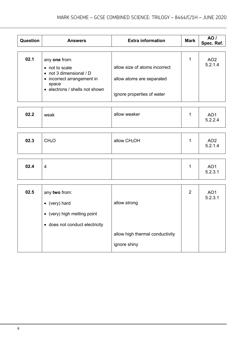| <b>Question</b> | <b>Answers</b>                                                                                                                              | <b>Extra information</b>                                                                 | <b>Mark</b> | AO /<br>Spec. Ref.         |
|-----------------|---------------------------------------------------------------------------------------------------------------------------------------------|------------------------------------------------------------------------------------------|-------------|----------------------------|
| 02.1            | any one from:<br>• not to scale<br>$\bullet$ not 3 dimensional / D<br>• incorrect arrangement in<br>space<br>• electrons / shells not shown | allow size of atoms incorrect<br>allow atoms are separated<br>ignore properties of water | 1           | AO <sub>2</sub><br>5.2.1.4 |
| 02.2            | weak                                                                                                                                        | allow weaker                                                                             | 1           | AO <sub>1</sub><br>5.2.2.4 |

| 02.3 | CH <sub>4</sub> O | allow CH <sub>3</sub> OH | AO <sub>2</sub><br>5.2.1.4 |
|------|-------------------|--------------------------|----------------------------|
| 02.4 | 4                 |                          | AO1<br>5.2.3.1             |

| 02.5 | any two from:<br>$\bullet$ (very) hard<br>• (very) high melting point<br>• does not conduct electricity | allow strong                                    | $\overline{2}$ | AO <sub>1</sub><br>5.2.3.1 |
|------|---------------------------------------------------------------------------------------------------------|-------------------------------------------------|----------------|----------------------------|
|      |                                                                                                         | allow high thermal conductivity<br>ignore shiny |                |                            |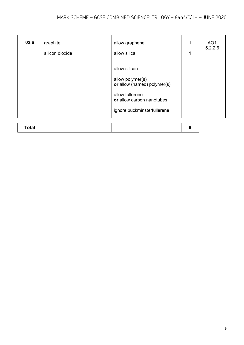| 02.6         | graphite<br>silicon dioxide | allow graphene<br>allow silica                                                                                                                  | 1<br>1 | AO <sub>1</sub><br>5.2.2.6 |
|--------------|-----------------------------|-------------------------------------------------------------------------------------------------------------------------------------------------|--------|----------------------------|
|              |                             | allow silicon<br>allow polymer(s)<br>or allow (named) polymer(s)<br>allow fullerene<br>or allow carbon nanotubes<br>ignore buckminsterfullerene |        |                            |
| <b>Total</b> |                             |                                                                                                                                                 | 8      |                            |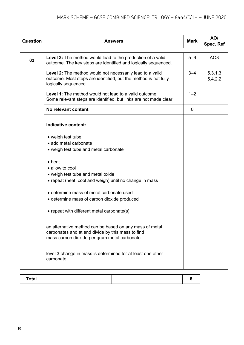| <b>Question</b> | <b>Answers</b>                                                                                                                                                                                                                                                                                                                                                                                                                                                                                                         | <b>Mark</b> | AO/<br>Spec. Ref   |
|-----------------|------------------------------------------------------------------------------------------------------------------------------------------------------------------------------------------------------------------------------------------------------------------------------------------------------------------------------------------------------------------------------------------------------------------------------------------------------------------------------------------------------------------------|-------------|--------------------|
| 03              | <b>Level 3:</b> The method would lead to the production of a valid<br>outcome. The key steps are identified and logically sequenced.                                                                                                                                                                                                                                                                                                                                                                                   | $5 - 6$     | AO <sub>3</sub>    |
|                 | Level 2: The method would not necessarily lead to a valid<br>outcome. Most steps are identified, but the method is not fully<br>logically sequenced.                                                                                                                                                                                                                                                                                                                                                                   | $3 - 4$     | 5.3.1.3<br>5.4.2.2 |
|                 | Level 1: The method would not lead to a valid outcome.<br>Some relevant steps are identified, but links are not made clear.                                                                                                                                                                                                                                                                                                                                                                                            | $1 - 2$     |                    |
|                 | No relevant content                                                                                                                                                                                                                                                                                                                                                                                                                                                                                                    | 0           |                    |
|                 | Indicative content:                                                                                                                                                                                                                                                                                                                                                                                                                                                                                                    |             |                    |
|                 | • weigh test tube<br>• add metal carbonate<br>• weigh test tube and metal carbonate                                                                                                                                                                                                                                                                                                                                                                                                                                    |             |                    |
|                 | $\bullet$ heat<br>• allow to cool<br>• weigh test tube and metal oxide<br>• repeat (heat, cool and weigh) until no change in mass<br>• determine mass of metal carbonate used<br>• determine mass of carbon dioxide produced<br>• repeat with different metal carbonate(s)<br>an alternative method can be based on any mass of metal<br>carbonates and at end divide by this mass to find<br>mass carbon dioxide per gram metal carbonate<br>level 3 change in mass is determined for at least one other<br>carbonate |             |                    |

| Total |  |
|-------|--|
|-------|--|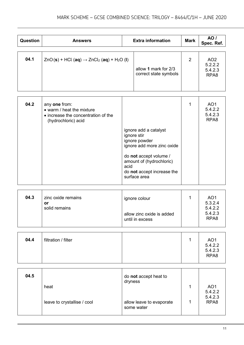| <b>Question</b> | <b>Answers</b>                                                                  | <b>Extra information</b>                      | <b>Mark</b>    | <b>AO</b> /<br>Spec. Ref.                                 |
|-----------------|---------------------------------------------------------------------------------|-----------------------------------------------|----------------|-----------------------------------------------------------|
| 04.1            | $ZnO(s)$ + HCl (aq) $\rightarrow$ ZnCl <sub>2</sub> (aq) + H <sub>2</sub> O (I) | allow 1 mark for 2/3<br>correct state symbols | $\overline{2}$ | AO <sub>2</sub><br>5.2.2.2<br>5.4.2.3<br>RPA <sub>8</sub> |
|                 |                                                                                 |                                               |                |                                                           |

| 04.2 | any one from:<br>• warm / heat the mixture<br>• increase the concentration of the<br>(hydrochloric) acid |                                                                                                          | AO <sub>1</sub><br>5.4.2.2<br>5.4.2.3<br>RPA <sub>8</sub> |
|------|----------------------------------------------------------------------------------------------------------|----------------------------------------------------------------------------------------------------------|-----------------------------------------------------------|
|      |                                                                                                          | ignore add a catalyst<br>ignore stir<br>ignore powder<br>ignore add more zinc oxide                      |                                                           |
|      |                                                                                                          | do not accept volume /<br>amount of (hydrochloric)<br>acid<br>do not accept increase the<br>surface area |                                                           |

| 04.3 | zinc oxide remains<br>or | ignore colour                                | AO <sub>1</sub><br>5.3.2.4             |
|------|--------------------------|----------------------------------------------|----------------------------------------|
|      | solid remains            | allow zinc oxide is added<br>until in excess | 5.4.2.2<br>5.4.2.3<br>RPA <sub>8</sub> |

| 04.4 | filtration / filter |  | AO <sub>1</sub>            |
|------|---------------------|--|----------------------------|
|      |                     |  | 5.4.2.2<br>5.4.2.3<br>RPA8 |

| 04.5 |                             | do not accept heat to<br>dryness       |                                       |
|------|-----------------------------|----------------------------------------|---------------------------------------|
|      | heat                        |                                        | AO <sub>1</sub><br>5.4.2.2<br>5.4.2.3 |
|      | leave to crystallise / cool | allow leave to evaporate<br>some water | RPA <sub>8</sub>                      |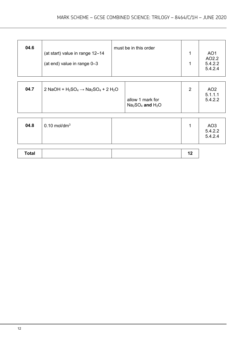| 04.6 | (at start) value in range 12-14<br>(at end) value in range 0-3 | must be in this order |  | AO <sub>1</sub><br>AO2.2<br>5.4.2.2<br>5.4.2.4 |
|------|----------------------------------------------------------------|-----------------------|--|------------------------------------------------|
|------|----------------------------------------------------------------|-----------------------|--|------------------------------------------------|

| 04.7 | 2 NaOH + $H_2SO_4 \rightarrow Na_2SO_4$ + 2 $H_2O$ |                                        | ີ | AO <sub>2</sub><br>5.1.1.1 |
|------|----------------------------------------------------|----------------------------------------|---|----------------------------|
|      |                                                    | allow 1 mark for<br>$Na2SO4$ and $H2O$ |   | 5.4.2.2                    |

| 04.8 | $0.10$ mol/dm <sup>3</sup> |  |  | AO3<br>5.4.2.2<br>5.4.2.4 |
|------|----------------------------|--|--|---------------------------|
|------|----------------------------|--|--|---------------------------|

| Total |  |  |
|-------|--|--|
|       |  |  |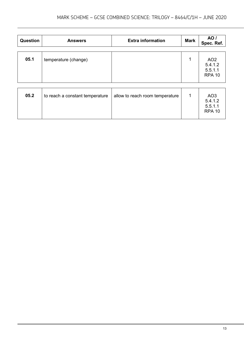| <b>Question</b> | <b>Answers</b>                  | <b>Extra information</b>        | <b>Mark</b> | AO /<br>Spec. Ref.                                     |
|-----------------|---------------------------------|---------------------------------|-------------|--------------------------------------------------------|
| 05.1            | temperature (change)            |                                 | 1           | AO <sub>2</sub><br>5.4.1.2<br>5.5.1.1<br><b>RPA 10</b> |
| 05.2            | to reach a constant temperature | allow to reach room temperature | 1           | AO <sub>3</sub><br>5.4.1.2<br>5.5.1.1<br><b>RPA 10</b> |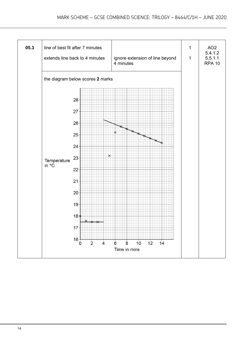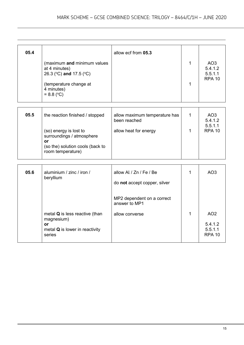| 05.4 |                                                                                                                                 | allow ecf from 05.3 |                                                        |
|------|---------------------------------------------------------------------------------------------------------------------------------|---------------------|--------------------------------------------------------|
|      | (maximum and minimum values<br>at 4 minutes)<br>26.3 (°C) and 17.5 (°C)<br>(temperature change at<br>4 minutes)<br>$= 8.8$ (°C) |                     | AO <sub>3</sub><br>5.4.1.2<br>5.5.1.1<br><b>RPA 10</b> |

| 05.5 | the reaction finished / stopped                                                                                    | allow maximum temperature has<br>been reached | AO <sub>3</sub><br>5.4.1.2<br>5.5.1.1 |
|------|--------------------------------------------------------------------------------------------------------------------|-----------------------------------------------|---------------------------------------|
|      | (so) energy is lost to<br>surroundings / atmosphere<br>or<br>(so the) solution cools (back to<br>room temperature) | allow heat for energy                         | <b>RPA 10</b>                         |

| 05.6 | aluminium / zinc / iron /<br>beryllium                                                      | allow Al / Zn / Fe / Be<br>do not accept copper, silver       |   | AO <sub>3</sub>                       |
|------|---------------------------------------------------------------------------------------------|---------------------------------------------------------------|---|---------------------------------------|
|      | metal <b>Q</b> is less reactive (than<br>magnesium)<br>or<br>metal Q is lower in reactivity | MP2 dependent on a correct<br>answer to MP1<br>allow converse | 1 | AO <sub>2</sub><br>5.4.1.2<br>5.5.1.1 |
|      | series                                                                                      |                                                               |   | <b>RPA 10</b>                         |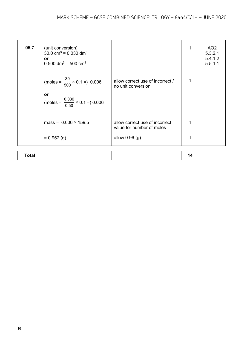| 05.7 | (unit conversion)<br>30.0 cm <sup>3</sup> = $0.030$ dm <sup>3</sup><br>or<br>$0.500$ dm <sup>3</sup> = 500 cm <sup>3</sup><br>(moles = $\frac{30}{500} \times 0.1 = 0.006$ | allow correct use of incorrect /                            | 1<br>1 | AO <sub>2</sub><br>5.3.2.1<br>5.4.1.2<br>5.5.1.1 |
|------|----------------------------------------------------------------------------------------------------------------------------------------------------------------------------|-------------------------------------------------------------|--------|--------------------------------------------------|
|      | or<br>(moles = $\frac{0.030}{0.50} \times 0.1 = 0.006$                                                                                                                     | no unit conversion                                          |        |                                                  |
|      | mass = $0.006 \times 159.5$                                                                                                                                                | allow correct use of incorrect<br>value for number of moles | 1      |                                                  |
|      | $= 0.957$ (g)                                                                                                                                                              | allow $0.96$ (g)                                            | 1      |                                                  |
|      |                                                                                                                                                                            |                                                             |        |                                                  |

| <b>Total</b> |  |  |  |
|--------------|--|--|--|
|--------------|--|--|--|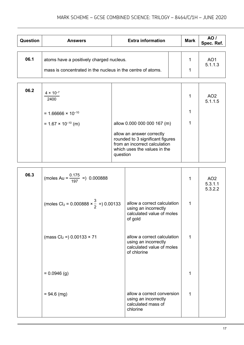| <b>Question</b> | <b>Answers</b>                                              | <b>Extra information</b> | <b>Mark</b> | AO /<br>Spec. Ref. |
|-----------------|-------------------------------------------------------------|--------------------------|-------------|--------------------|
|                 |                                                             |                          |             |                    |
| 06.1            | atoms have a positively charged nucleus.                    |                          |             | AO1<br>5.1.1.3     |
|                 | mass is concentrated in the nucleus in the centre of atoms. |                          |             |                    |

| 06.2 | $4 \times 10^{-7}$<br>2400   |                                                                                                                                            | 1 | AO <sub>2</sub><br>5.1.1.5 |
|------|------------------------------|--------------------------------------------------------------------------------------------------------------------------------------------|---|----------------------------|
|      | $= 1.66666 \times 10^{-10}$  |                                                                                                                                            | 1 |                            |
|      | $= 1.67 \times 10^{-10}$ (m) | allow 0.000 000 000 167 (m)                                                                                                                |   |                            |
|      |                              | allow an answer correctly<br>rounded to 3 significant figures<br>from an incorrect calculation<br>which uses the values in the<br>question |   |                            |

| 06.3 | (moles Au = $\frac{0.175}{197}$ =) 0.000888                       |                                                                                                 | 1           | AO <sub>2</sub><br>5.3.1.1<br>5.3.2.2 |
|------|-------------------------------------------------------------------|-------------------------------------------------------------------------------------------------|-------------|---------------------------------------|
|      | (moles Cl <sub>2</sub> = 0.000888 $\times \frac{3}{2}$ =) 0.00133 | allow a correct calculation<br>using an incorrectly<br>calculated value of moles<br>of gold     | $\mathbf 1$ |                                       |
|      | (mass $Cl_2 =$ ) 0.00133 $\times$ 71                              | allow a correct calculation<br>using an incorrectly<br>calculated value of moles<br>of chlorine | 1           |                                       |
|      | $= 0.0946$ (g)                                                    |                                                                                                 |             |                                       |
|      | $= 94.6$ (mg)                                                     | allow a correct conversion<br>using an incorrectly<br>calculated mass of<br>chlorine            | 1           |                                       |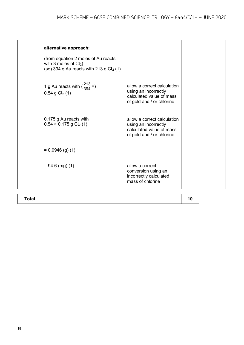| alternative approach:<br>(from equation 2 moles of Au reacts<br>with 3 moles of $Cl2$ )<br>(so) 394 g Au reacts with 213 g $Cl2$ (1) |                                                                                                              |  |
|--------------------------------------------------------------------------------------------------------------------------------------|--------------------------------------------------------------------------------------------------------------|--|
| 1 g Au reacts with $\left(\frac{213}{394}\right)$<br>$0.54$ g Cl <sub>2</sub> (1)                                                    | allow a correct calculation<br>using an incorrectly<br>calculated value of mass<br>of gold and / or chlorine |  |
| 0.175 g Au reacts with<br>$0.54 \times 0.175$ g Cl <sub>2</sub> (1)                                                                  | allow a correct calculation<br>using an incorrectly<br>calculated value of mass<br>of gold and / or chlorine |  |
| $= 0.0946$ (g) (1)                                                                                                                   |                                                                                                              |  |
| $= 94.6$ (mg) (1)                                                                                                                    | allow a correct<br>conversion using an<br>incorrectly calculated<br>mass of chlorine                         |  |

| <b>Total</b> |  |  |
|--------------|--|--|
|              |  |  |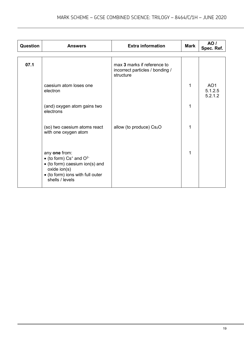| Question | <b>Answers</b>                                                                                                                                            | <b>Extra information</b>                                                    | <b>Mark</b> | <b>AO</b> /<br>Spec. Ref.             |
|----------|-----------------------------------------------------------------------------------------------------------------------------------------------------------|-----------------------------------------------------------------------------|-------------|---------------------------------------|
| 07.1     |                                                                                                                                                           | max 3 marks if reference to<br>incorrect particles / bonding /<br>structure |             |                                       |
|          | caesium atom loses one<br>electron                                                                                                                        |                                                                             | $\mathbf 1$ | AO <sub>1</sub><br>5.1.2.5<br>5.2.1.2 |
|          | (and) oxygen atom gains two<br>electrons                                                                                                                  |                                                                             | 1           |                                       |
|          | (so) two caesium atoms react<br>with one oxygen atom                                                                                                      | allow (to produce) Cs <sub>2</sub> O                                        | 1           |                                       |
|          | any one from:<br>• (to form) $Cs^+$ and $O^{2-}$<br>• (to form) caesium ion(s) and<br>oxide ion(s)<br>• (to form) ions with full outer<br>shells / levels |                                                                             | 1           |                                       |